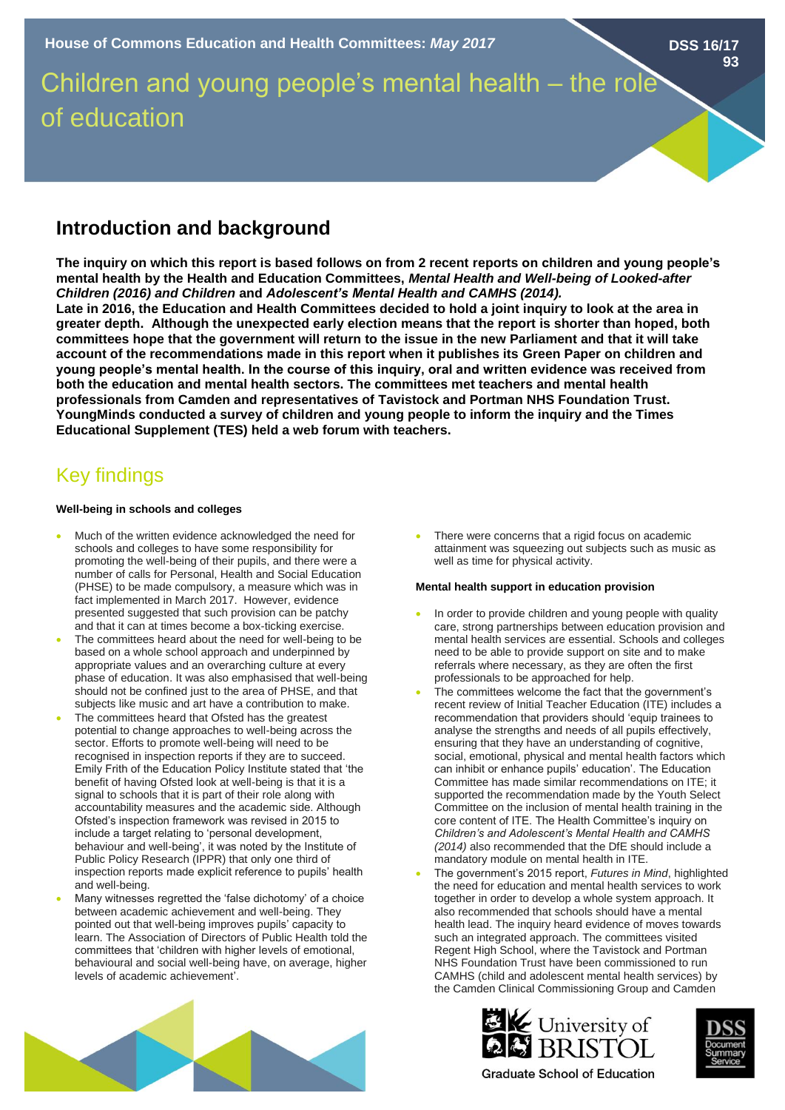**DSS 16/17**

**93**

# Children and young people's mental health – the role of education

# **Introduction and background**

**The inquiry on which this report is based follows on from 2 recent reports on children and young people's mental health by the Health and Education Committees,** *Mental Health and Well-being of Looked-after Children (2016) and Children* **and** *Adolescent's Mental Health and CAMHS (2014).* 

**Late in 2016, the Education and Health Committees decided to hold a joint inquiry to look at the area in greater depth. Although the unexpected early election means that the report is shorter than hoped, both committees hope that the government will return to the issue in the new Parliament and that it will take account of the recommendations made in this report when it publishes its Green Paper on children and young people's mental health. In the course of this inquiry, oral and written evidence was received from both the education and mental health sectors. The committees met teachers and mental health professionals from Camden and representatives of Tavistock and Portman NHS Foundation Trust. YoungMinds conducted a survey of children and young people to inform the inquiry and the Times Educational Supplement (TES) held a web forum with teachers.** 

# Key findings

### **Well-being in schools and colleges**

- Much of the written evidence acknowledged the need for schools and colleges to have some responsibility for promoting the well-being of their pupils, and there were a number of calls for Personal, Health and Social Education (PHSE) to be made compulsory, a measure which was in fact implemented in March 2017. However, evidence presented suggested that such provision can be patchy and that it can at times become a box-ticking exercise.
- The committees heard about the need for well-being to be based on a whole school approach and underpinned by appropriate values and an overarching culture at every phase of education. It was also emphasised that well-being should not be confined just to the area of PHSE, and that subjects like music and art have a contribution to make.
- The committees heard that Ofsted has the greatest potential to change approaches to well-being across the sector. Efforts to promote well-being will need to be recognised in inspection reports if they are to succeed. Emily Frith of the Education Policy Institute stated that 'the benefit of having Ofsted look at well-being is that it is a signal to schools that it is part of their role along with accountability measures and the academic side. Although Ofsted's inspection framework was revised in 2015 to include a target relating to 'personal development, behaviour and well-being', it was noted by the Institute of Public Policy Research (IPPR) that only one third of inspection reports made explicit reference to pupils' health and well-being.
- Many witnesses regretted the 'false dichotomy' of a choice between academic achievement and well-being. They pointed out that well-being improves pupils' capacity to learn. The Association of Directors of Public Health told the committees that 'children with higher levels of emotional, behavioural and social well-being have, on average, higher levels of academic achievement'.

There were concerns that a rigid focus on academic attainment was squeezing out subjects such as music as well as time for physical activity.

## **Mental health support in education provision**

- In order to provide children and young people with quality care, strong partnerships between education provision and mental health services are essential. Schools and colleges need to be able to provide support on site and to make referrals where necessary, as they are often the first professionals to be approached for help.
- The committees welcome the fact that the government's recent review of Initial Teacher Education (ITE) includes a recommendation that providers should 'equip trainees to analyse the strengths and needs of all pupils effectively, ensuring that they have an understanding of cognitive, social, emotional, physical and mental health factors which can inhibit or enhance pupils' education'. The Education Committee has made similar recommendations on ITE; it supported the recommendation made by the Youth Select Committee on the inclusion of mental health training in the core content of ITE. The Health Committee's inquiry on *Children's and Adolescent's Mental Health and CAMHS (2014)* also recommended that the DfE should include a mandatory module on mental health in ITE.
- The government's 2015 report, *Futures in Mind*, highlighted the need for education and mental health services to work together in order to develop a whole system approach. It also recommended that schools should have a mental health lead. The inquiry heard evidence of moves towards such an integrated approach. The committees visited Regent High School, where the Tavistock and Portman NHS Foundation Trust have been commissioned to run CAMHS (child and adolescent mental health services) by the Camden Clinical Commissioning Group and Camden





**Graduate School of Education**